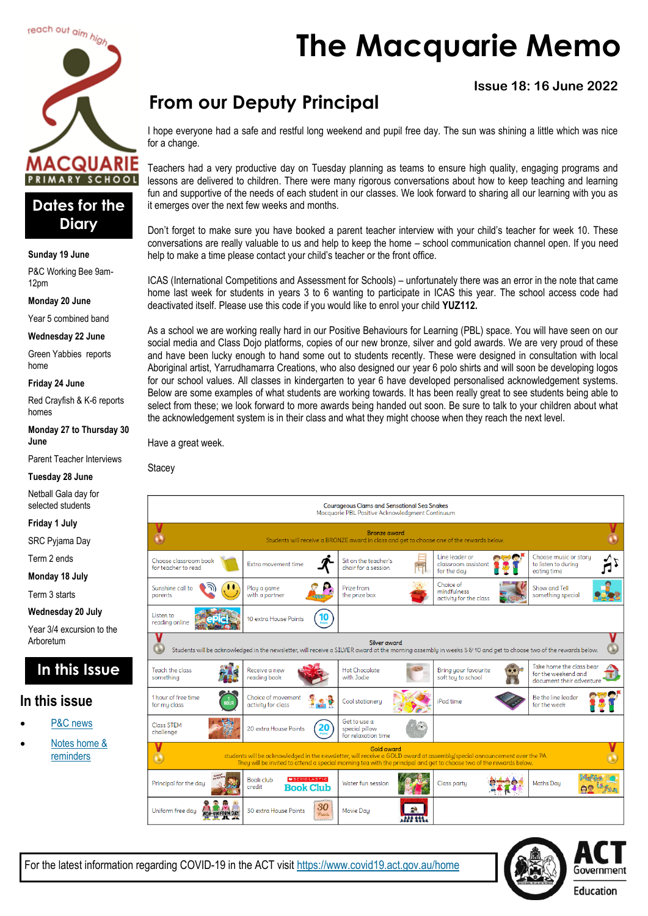

### **Dates for the Diary**

#### **Sunday 19 June**

P&C Working Bee 9am-12pm

**Monday 20 June**

Year 5 combined band

**Wednesday 22 June**

Green Yabbies reports home

#### **Friday 24 June**

Red Crayfish & K-6 reports homes

**Monday 27 to Thursday 30 June**

Parent Teacher Interviews

#### **Tuesday 28 June**

Netball Gala day for selected students

**Friday 1 July**

SRC Pyjama Day

Term 2 ends

**Monday 18 July**

Term 3 starts

**Wednesday 20 July**

Year 3/4 excursion to the Arboretum

### **In this Issue**

#### **In this issue**

- [P&C news](#page-1-0)
- Notes home & [reminders](#page-4-0)

# **The Macquarie Memo**

#### **Issue 18: 16 June 2022**

# **From our Deputy Principal**

I hope everyone had a safe and restful long weekend and pupil free day. The sun was shining a little which was nice for a change.

Teachers had a very productive day on Tuesday planning as teams to ensure high quality, engaging programs and lessons are delivered to children. There were many rigorous conversations about how to keep teaching and learning fun and supportive of the needs of each student in our classes. We look forward to sharing all our learning with you as it emerges over the next few weeks and months.

Don't forget to make sure you have booked a parent teacher interview with your child's teacher for week 10. These conversations are really valuable to us and help to keep the home – school communication channel open. If you need help to make a time please contact your child's teacher or the front office.

ICAS (International Competitions and Assessment for Schools) – unfortunately there was an error in the note that came home last week for students in years 3 to 6 wanting to participate in ICAS this year. The school access code had deactivated itself. Please use this code if you would like to enrol your child **YUZ112.**

As a school we are working really hard in our Positive Behaviours for Learning (PBL) space. You will have seen on our social media and Class Dojo platforms, copies of our new bronze, silver and gold awards. We are very proud of these and have been lucky enough to hand some out to students recently. These were designed in consultation with local Aboriginal artist, Yarrudhamarra Creations, who also designed our year 6 polo shirts and will soon be developing logos for our school values. All classes in kindergarten to year 6 have developed personalised acknowledgement systems. Below are some examples of what students are working towards. It has been really great to see students being able to select from these; we look forward to more awards being handed out soon. Be sure to talk to your children about what the acknowledgement system is in their class and what they might choose when they reach the next level.

Have a great week.

**Stacev** 



For the latest information regarding COVID-19 in the ACT visit <https://www.covid19.act.gov.au/home>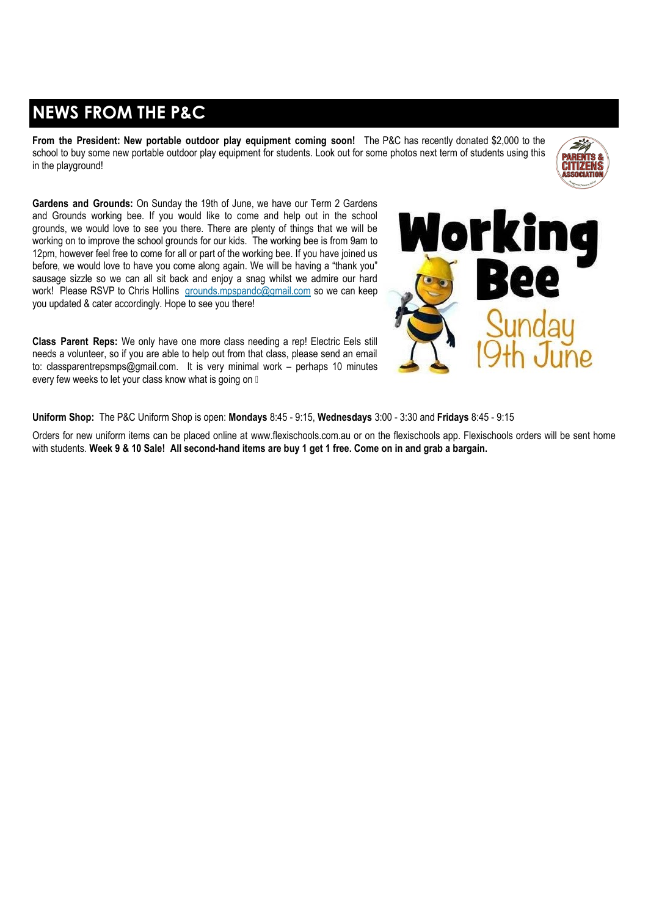# <span id="page-1-0"></span>**NEWS FROM THE P&C**

**From the President: New portable outdoor play equipment coming soon!** The P&C has recently donated \$2,000 to the school to buy some new portable outdoor play equipment for students. Look out for some photos next term of students using this in the playground!



**Gardens and Grounds:** On Sunday the 19th of June, we have our Term 2 Gardens and Grounds working bee. If you would like to come and help out in the school grounds, we would love to see you there. There are plenty of things that we will be working on to improve the school grounds for our kids. The working bee is from 9am to 12pm, however feel free to come for all or part of the working bee. If you have joined us before, we would love to have you come along again. We will be having a "thank you" sausage sizzle so we can all sit back and enjoy a snag whilst we admire our hard work! Please RSVP to Chris Hollins [grounds.mpspandc@gmail.com](mailto:grounds.mpspandc@gmail.com) so we can keep you updated & cater accordingly. Hope to see you there!

**Class Parent Reps:** We only have one more class needing a rep! Electric Eels still needs a volunteer, so if you are able to help out from that class, please send an email to: [classparentrepsmps@gmail.com](mailto:classparentrepsmps@gmail.com). It is very minimal work – perhaps 10 minutes every few weeks to let your class know what is going on  $\mathbb I$ 



**Uniform Shop:** The P&C Uniform Shop is open: **Mondays** 8:45 - 9:15, **Wednesdays** 3:00 - 3:30 and **Fridays** 8:45 - 9:15

Orders for new uniform items can be placed online at [www.flexischools.com.au](https://aus01.safelinks.protection.outlook.com/?url=http%3A%2F%2Fwww.flexischools.com.au%2F&data=05%7C01%7C%7C805a62c9030f423afc4208da4d2206fb%7Cf1d4a8326c2144759bf48cc7e9044a29%7C0%7C0%7C637907105795212331%7CUnknown%7CTWFpbGZsb3d8eyJWIjoiMC4wLjAwMDAiLCJQIjoi) or on the flexischools app. Flexischools orders will be sent home with students. **Week 9 & 10 Sale! All second-hand items are buy 1 get 1 free. Come on in and grab a bargain.**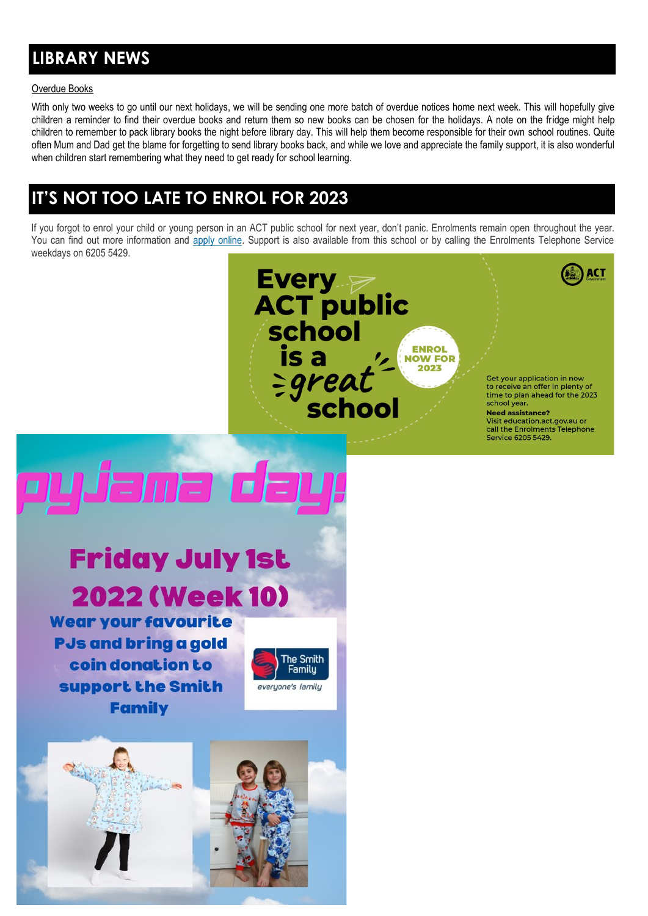# **LIBRARY NEWS**

#### Overdue Books

With only two weeks to go until our next holidays, we will be sending one more batch of overdue notices home next week. This will hopefully give children a reminder to find their overdue books and return them so new books can be chosen for the holidays. A note on the fridge might help children to remember to pack library books the night before library day. This will help them become responsible for their own school routines. Quite often Mum and Dad get the blame for forgetting to send library books back, and while we love and appreciate the family support, it is also wonderful when children start remembering what they need to get ready for school learning.

### **IT'S NOT TOO LATE TO ENROL FOR 2023**

If you forgot to enrol your child or young person in an ACT public school for next year, don't panic. Enrolments remain open throughout the year. You can find out more information and [apply online.](https://www.education.act.gov.au/public-school-life/enrolling-in-a-public-school) Support is also available from this school or by calling the Enrolments Telephone Service weekdays on 6205 5429.



Get your application in now to receive an offer in plenty of time to plan ahead for the 2023 school year.

ACT

**Need assistance?** Visit education.act.gov.au or call the Enrolments Telephone<br>Service 6205 5429.

# **Friday July 1st 2022 (Week 10)**

<u>Jama d</u>

**Wear your favourite PJs and bring a gold** coin donation to support the Smith **Family** 



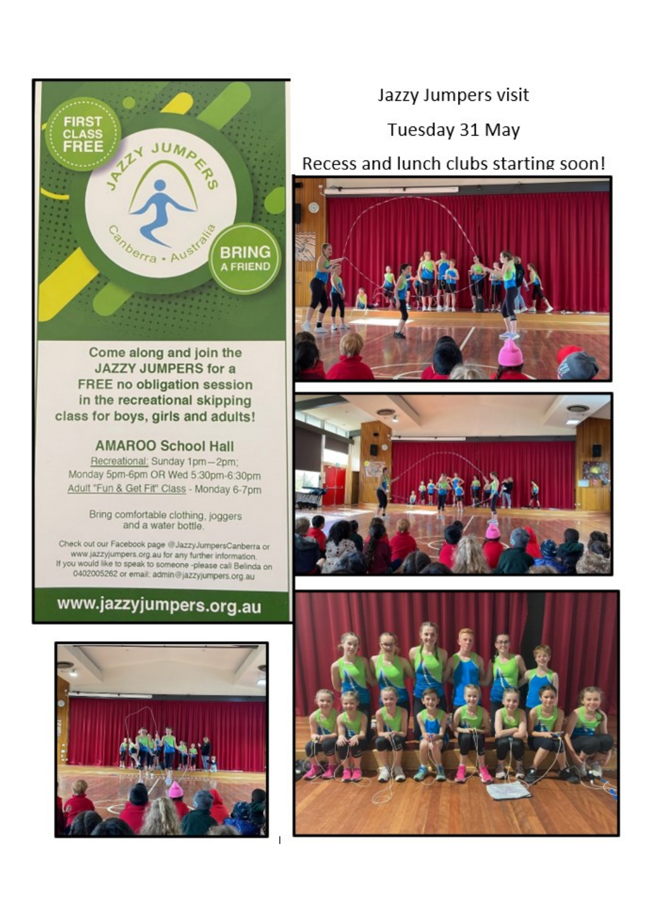

Come along and join the **JAZZY JUMPERS for a FREE** no obligation session in the recreational skipping class for boys, girls and adults!

#### **AMAROO School Hall**

Recreational: Sunday 1pm-2pm; Monday 5pm-6pm OR Wed 5:30pm-6:30pm Adult "Fun & Get Fit" Class - Monday 6-7pm

> Bring comfortable clothing, joggers and a water bottle.

Check out our Facebook page @JazzyJumpersCanberra or www.jazzyjumpers.org.au for any further information. If you would like to speak to someone -please call Belinda on 0402005262 or email: admin@jazzyjumpers.org.au

# www.jazzyjumpers.org.au



### Jazzy Jumpers visit

## Tuesday 31 May

### Recess and lunch clubs starting soon!